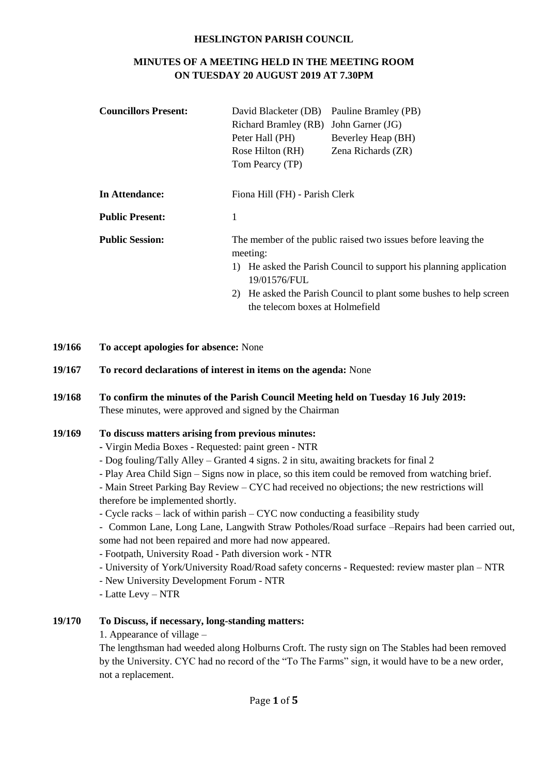#### **HESLINGTON PARISH COUNCIL**

# **MINUTES OF A MEETING HELD IN THE MEETING ROOM ON TUESDAY 20 AUGUST 2019 AT 7.30PM**

| <b>Councillors Present:</b>        | David Blacketer (DB)                                                               | Pauline Bramley (PB)                                                                               |  |  |
|------------------------------------|------------------------------------------------------------------------------------|----------------------------------------------------------------------------------------------------|--|--|
|                                    | Richard Bramley (RB) John Garner (JG)                                              |                                                                                                    |  |  |
|                                    | Peter Hall (PH)                                                                    | Beverley Heap (BH)                                                                                 |  |  |
|                                    | Rose Hilton (RH)                                                                   | Zena Richards (ZR)                                                                                 |  |  |
|                                    | Tom Pearcy (TP)                                                                    |                                                                                                    |  |  |
|                                    |                                                                                    |                                                                                                    |  |  |
| In Attendance:                     | Fiona Hill (FH) - Parish Clerk                                                     |                                                                                                    |  |  |
| <b>Public Present:</b>             | 1                                                                                  |                                                                                                    |  |  |
| <b>Public Session:</b><br>meeting: |                                                                                    | The member of the public raised two issues before leaving the                                      |  |  |
|                                    | 1) He asked the Parish Council to support his planning application<br>19/01576/FUL |                                                                                                    |  |  |
|                                    | 2)                                                                                 | He asked the Parish Council to plant some bushes to help screen<br>the telecom boxes at Holmefield |  |  |

**19/166 To accept apologies for absence:** None

**19/167 To record declarations of interest in items on the agenda:** None

# **19/168 To confirm the minutes of the Parish Council Meeting held on Tuesday 16 July 2019:** These minutes, were approved and signed by the Chairman

### **19/169 To discuss matters arising from previous minutes:**

- **-** Virgin Media Boxes Requested: paint green NTR
- Dog fouling/Tally Alley Granted 4 signs. 2 in situ, awaiting brackets for final 2
- Play Area Child Sign Signs now in place, so this item could be removed from watching brief.
- Main Street Parking Bay Review CYC had received no objections; the new restrictions will therefore be implemented shortly.
- Cycle racks lack of within parish CYC now conducting a feasibility study
- Common Lane, Long Lane, Langwith Straw Potholes/Road surface –Repairs had been carried out, some had not been repaired and more had now appeared.
- Footpath, University Road Path diversion work NTR
- University of York/University Road/Road safety concerns Requested: review master plan NTR
- New University Development Forum NTR
- Latte Levy NTR

#### **19/170 To Discuss, if necessary, long-standing matters:**

1. Appearance of village –

The lengthsman had weeded along Holburns Croft. The rusty sign on The Stables had been removed by the University. CYC had no record of the "To The Farms" sign, it would have to be a new order, not a replacement.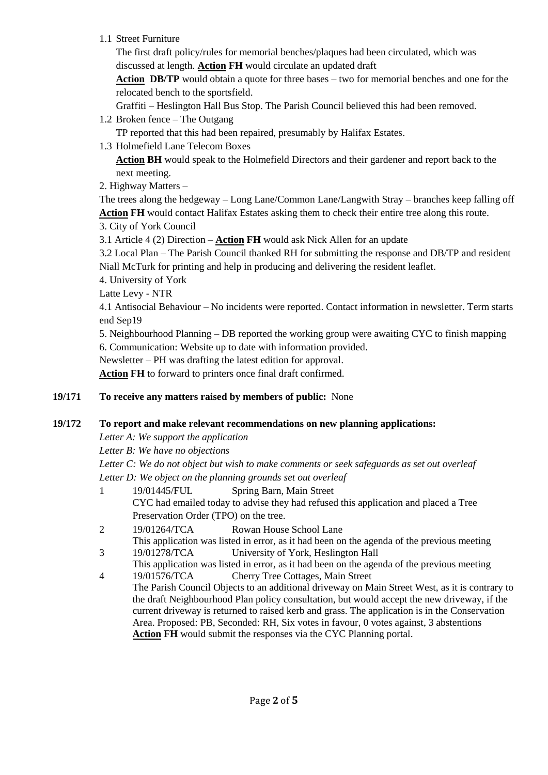1.1 Street Furniture

The first draft policy/rules for memorial benches/plaques had been circulated, which was discussed at length. **Action FH** would circulate an updated draft

**Action DB/TP** would obtain a quote for three bases – two for memorial benches and one for the relocated bench to the sportsfield.

Graffiti – Heslington Hall Bus Stop. The Parish Council believed this had been removed.

1.2 Broken fence – The Outgang

TP reported that this had been repaired, presumably by Halifax Estates.

1.3 Holmefield Lane Telecom Boxes

**Action BH** would speak to the Holmefield Directors and their gardener and report back to the next meeting.

2. Highway Matters –

The trees along the hedgeway – Long Lane/Common Lane/Langwith Stray – branches keep falling off **Action FH** would contact Halifax Estates asking them to check their entire tree along this route.

3. City of York Council

3.1 Article 4 (2) Direction – **Action FH** would ask Nick Allen for an update

3.2 Local Plan – The Parish Council thanked RH for submitting the response and DB/TP and resident Niall McTurk for printing and help in producing and delivering the resident leaflet.

- 4. University of York
- Latte Levy NTR

4.1 Antisocial Behaviour – No incidents were reported. Contact information in newsletter. Term starts end Sep19

5. Neighbourhood Planning – DB reported the working group were awaiting CYC to finish mapping

6. Communication: Website up to date with information provided.

Newsletter – PH was drafting the latest edition for approval.

**Action FH** to forward to printers once final draft confirmed.

# **19/171 To receive any matters raised by members of public:** None

### **19/172 To report and make relevant recommendations on new planning applications:**

*Letter A: We support the application*

*Letter B: We have no objections*

*Letter C: We do not object but wish to make comments or seek safeguards as set out overleaf Letter D: We object on the planning grounds set out overleaf*

- 1 19/01445/FUL Spring Barn, Main Street CYC had emailed today to advise they had refused this application and placed a Tree Preservation Order (TPO) on the tree.
- 2 19/01264/TCA Rowan House School Lane This application was listed in error, as it had been on the agenda of the previous meeting
- 3 19/01278/TCA University of York, Heslington Hall
- This application was listed in error, as it had been on the agenda of the previous meeting 4 19/01576/TCA Cherry Tree Cottages, Main Street
	- The Parish Council Objects to an additional driveway on Main Street West, as it is contrary to the draft Neighbourhood Plan policy consultation, but would accept the new driveway, if the current driveway is returned to raised kerb and grass. The application is in the Conservation Area. Proposed: PB, Seconded: RH, Six votes in favour, 0 votes against, 3 abstentions **Action FH** would submit the responses via the CYC Planning portal.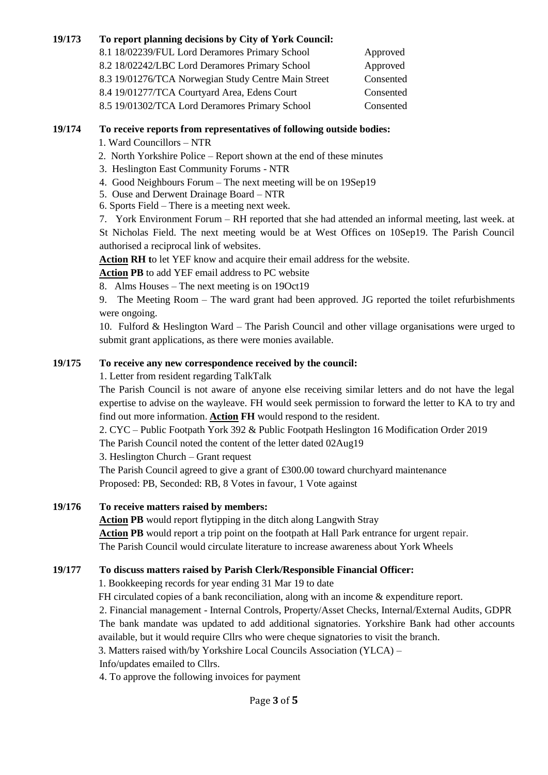### **19/173 To report planning decisions by City of York Council:**

8.1 18/02239/FUL Lord Deramores Primary School Approved 8.2 18/02242/LBC Lord Deramores Primary School Approved 8.3 19/01276/TCA Norwegian Study Centre Main Street Consented 8.4 19/01277/TCA Courtyard Area, Edens Court Consented 8.5 19/01302/TCA Lord Deramores Primary School Consented

#### **19/174 To receive reports from representatives of following outside bodies:**

1. Ward Councillors – NTR

2. North Yorkshire Police – Report shown at the end of these minutes

- 3. Heslington East Community Forums NTR
- 4. Good Neighbours Forum The next meeting will be on 19Sep19
- 5. Ouse and Derwent Drainage Board NTR
- 6. Sports Field There is a meeting next week.

7. York Environment Forum – RH reported that she had attended an informal meeting, last week. at St Nicholas Field. The next meeting would be at West Offices on 10Sep19. The Parish Council authorised a reciprocal link of websites.

**Action RH t**o let YEF know and acquire their email address for the website.

**Action PB** to add YEF email address to PC website

8. Alms Houses – The next meeting is on 19Oct19

9. The Meeting Room – The ward grant had been approved. JG reported the toilet refurbishments were ongoing.

10. Fulford & Heslington Ward – The Parish Council and other village organisations were urged to submit grant applications, as there were monies available.

### **19/175 To receive any new correspondence received by the council:**

1. Letter from resident regarding TalkTalk

The Parish Council is not aware of anyone else receiving similar letters and do not have the legal expertise to advise on the wayleave. FH would seek permission to forward the letter to KA to try and find out more information. **Action FH** would respond to the resident.

2. CYC – Public Footpath York 392 & Public Footpath Heslington 16 Modification Order 2019 The Parish Council noted the content of the letter dated 02Aug19

3. Heslington Church – Grant request

The Parish Council agreed to give a grant of £300.00 toward churchyard maintenance Proposed: PB, Seconded: RB, 8 Votes in favour, 1 Vote against

### **19/176 To receive matters raised by members:**

**Action PB** would report flytipping in the ditch along Langwith Stray **Action PB** would report a trip point on the footpath at Hall Park entrance for urgent repair. The Parish Council would circulate literature to increase awareness about York Wheels

#### **19/177 To discuss matters raised by Parish Clerk/Responsible Financial Officer:**

1. Bookkeeping records for year ending 31 Mar 19 to date

FH circulated copies of a bank reconciliation, along with an income & expenditure report.

2. Financial management - Internal Controls, Property/Asset Checks, Internal/External Audits, GDPR The bank mandate was updated to add additional signatories. Yorkshire Bank had other accounts available, but it would require Cllrs who were cheque signatories to visit the branch.

3. Matters raised with/by Yorkshire Local Councils Association (YLCA) –

Info/updates emailed to Cllrs.

4. To approve the following invoices for payment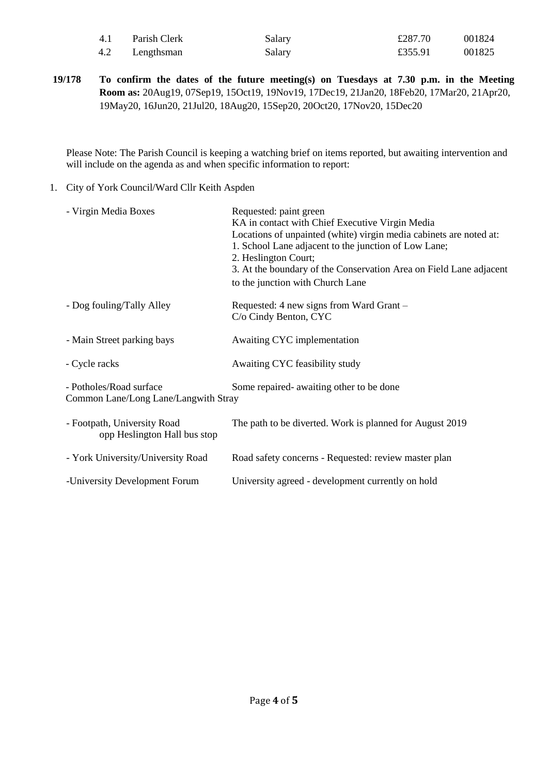| 4.1 | Parish Clerk | Salary | £287.70 | 001824 |
|-----|--------------|--------|---------|--------|
| 4.2 | Lengthsman   | Salary | £355.91 | 001825 |

**19/178 To confirm the dates of the future meeting(s) on Tuesdays at 7.30 p.m. in the Meeting Room as:** 20Aug19, 07Sep19, 15Oct19, 19Nov19, 17Dec19, 21Jan20, 18Feb20, 17Mar20, 21Apr20, 19May20, 16Jun20, 21Jul20, 18Aug20, 15Sep20, 20Oct20, 17Nov20, 15Dec20

Please Note: The Parish Council is keeping a watching brief on items reported, but awaiting intervention and will include on the agenda as and when specific information to report:

1. City of York Council/Ward Cllr Keith Aspden

| - Virgin Media Boxes                                                                                        | Requested: paint green<br>KA in contact with Chief Executive Virgin Media<br>Locations of unpainted (white) virgin media cabinets are noted at:<br>1. School Lane adjacent to the junction of Low Lane;<br>2. Heslington Court;<br>3. At the boundary of the Conservation Area on Field Lane adjacent<br>to the junction with Church Lane |
|-------------------------------------------------------------------------------------------------------------|-------------------------------------------------------------------------------------------------------------------------------------------------------------------------------------------------------------------------------------------------------------------------------------------------------------------------------------------|
| - Dog fouling/Tally Alley                                                                                   | Requested: 4 new signs from Ward Grant –<br>C/o Cindy Benton, CYC                                                                                                                                                                                                                                                                         |
| - Main Street parking bays                                                                                  | Awaiting CYC implementation                                                                                                                                                                                                                                                                                                               |
| - Cycle racks                                                                                               | Awaiting CYC feasibility study                                                                                                                                                                                                                                                                                                            |
| - Potholes/Road surface<br>Some repaired- awaiting other to be done<br>Common Lane/Long Lane/Langwith Stray |                                                                                                                                                                                                                                                                                                                                           |
| - Footpath, University Road<br>opp Heslington Hall bus stop                                                 | The path to be diverted. Work is planned for August 2019                                                                                                                                                                                                                                                                                  |
| - York University/University Road                                                                           | Road safety concerns - Requested: review master plan                                                                                                                                                                                                                                                                                      |
| -University Development Forum                                                                               | University agreed - development currently on hold                                                                                                                                                                                                                                                                                         |